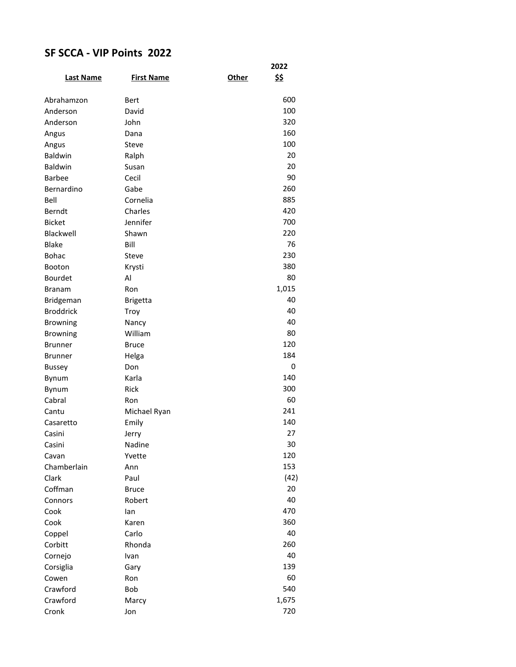## **SF SCCA - VIP Points 2022**

|                  |                   |       | 2022  |
|------------------|-------------------|-------|-------|
| <b>Last Name</b> | <b>First Name</b> | Other | \$\$  |
|                  |                   |       |       |
| Abrahamzon       | Bert              |       | 600   |
| Anderson         | David             |       | 100   |
| Anderson         | John              |       | 320   |
| Angus            | Dana              |       | 160   |
| Angus            | Steve             |       | 100   |
| Baldwin          | Ralph             |       | 20    |
| <b>Baldwin</b>   | Susan             |       | 20    |
| <b>Barbee</b>    | Cecil             |       | 90    |
| Bernardino       | Gabe              |       | 260   |
| Bell             | Cornelia          |       | 885   |
| Berndt           | Charles           |       | 420   |
| <b>Bicket</b>    | Jennifer          |       | 700   |
| Blackwell        | Shawn             |       | 220   |
| <b>Blake</b>     | Bill              |       | 76    |
| <b>Bohac</b>     | Steve             |       | 230   |
| <b>Booton</b>    | Krysti            |       | 380   |
| Bourdet          | Al                |       | 80    |
| Branam           | Ron               |       | 1,015 |
| Bridgeman        | <b>Brigetta</b>   |       | 40    |
| <b>Broddrick</b> | Troy              |       | 40    |
| <b>Browning</b>  | Nancy             |       | 40    |
| <b>Browning</b>  | William           |       | 80    |
| <b>Brunner</b>   | <b>Bruce</b>      |       | 120   |
| Brunner          | Helga             |       | 184   |
| Bussey           | Don               |       | 0     |
| Bynum            | Karla             |       | 140   |
| Bynum            | Rick              |       | 300   |
| Cabral           | Ron               |       | 60    |
| Cantu            | Michael Ryan      |       | 241   |
| Casaretto        | Emily             |       | 140   |
| Casini           | Jerry             |       | 27    |
| Casini           | Nadine            |       | 30    |
| Cavan            | Yvette            |       | 120   |
| Chamberlain      | Ann               |       | 153   |
| Clark            | Paul              |       | (42)  |
| Coffman          | <b>Bruce</b>      |       | 20    |
| Connors          | Robert            |       | 40    |
| Cook             | lan               |       | 470   |
| Cook             | Karen             |       | 360   |
| Coppel           | Carlo             |       | 40    |
| Corbitt          | Rhonda            |       | 260   |
| Cornejo          | Ivan              |       | 40    |
| Corsiglia        | Gary              |       | 139   |
| Cowen            | Ron               |       | 60    |
| Crawford         | Bob               |       | 540   |
| Crawford         | Marcy             |       | 1,675 |
| Cronk            | Jon               |       | 720   |
|                  |                   |       |       |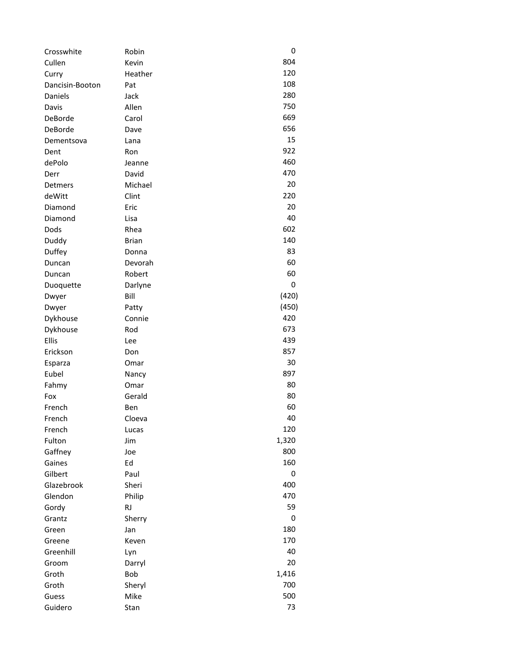| Crosswhite      | Robin        | 0     |
|-----------------|--------------|-------|
| Cullen          | Kevin        | 804   |
| Curry           | Heather      | 120   |
| Dancisin-Booton | Pat          | 108   |
| Daniels         | Jack         | 280   |
| Davis           | Allen        | 750   |
| DeBorde         | Carol        | 669   |
| DeBorde         | Dave         | 656   |
| Dementsova      | Lana         | 15    |
| Dent            | Ron          | 922   |
| dePolo          | Jeanne       | 460   |
| Derr            | David        | 470   |
| Detmers         | Michael      | 20    |
| deWitt          | Clint        | 220   |
| Diamond         | Eric         | 20    |
| Diamond         | Lisa         | 40    |
| Dods            | Rhea         | 602   |
| Duddy           | <b>Brian</b> | 140   |
| Duffey          | Donna        | 83    |
| Duncan          | Devorah      | 60    |
| Duncan          | Robert       | 60    |
| Duoquette       | Darlyne      | 0     |
| Dwyer           | Bill         | (420) |
| Dwyer           | Patty        | (450) |
| Dykhouse        | Connie       | 420   |
| Dykhouse        | Rod          | 673   |
| Ellis           | Lee          | 439   |
| Erickson        | Don          | 857   |
| Esparza         | Omar         | 30    |
| Eubel           | Nancy        | 897   |
| Fahmy           | Omar         | 80    |
| Fox             | Gerald       | 80    |
| French          | Ben          | 60    |
| French          | Cloeva       | 40    |
| French          | Lucas        | 120   |
| Fulton          | Jim          | 1,320 |
| Gaffney         | Joe          | 800   |
| Gaines          | Ed           | 160   |
| Gilbert         | Paul         | 0     |
| Glazebrook      | Sheri        | 400   |
| Glendon         | Philip       | 470   |
| Gordy           | <b>RJ</b>    | 59    |
|                 |              | 0     |
| Grantz<br>Green | Sherry       | 180   |
|                 | Jan          | 170   |
| Greene          | Keven        |       |
| Greenhill       | Lyn          | 40    |
| Groom           | Darryl       | 20    |
| Groth           | Bob          | 1,416 |
| Groth           | Sheryl       | 700   |
| Guess           | Mike         | 500   |
| Guidero         | Stan         | 73    |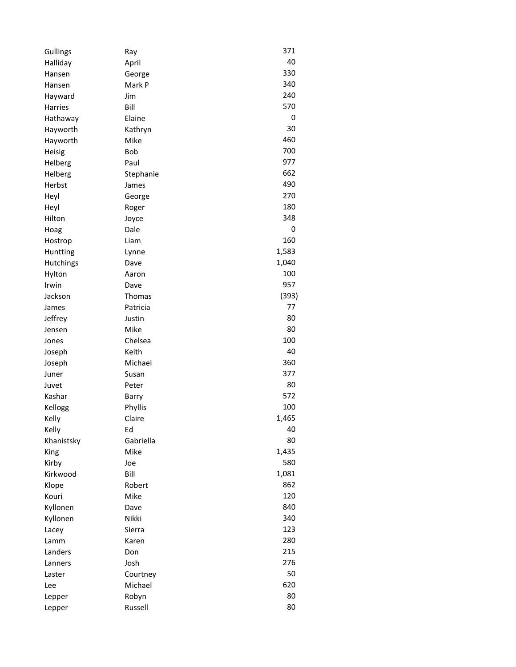| Gullings       | Ray       | 371   |
|----------------|-----------|-------|
| Halliday       | April     | 40    |
| Hansen         | George    | 330   |
| Hansen         | Mark P    | 340   |
| Hayward        | Jim       | 240   |
| <b>Harries</b> | Bill      | 570   |
| Hathaway       | Elaine    | 0     |
| Hayworth       | Kathryn   | 30    |
| Hayworth       | Mike      | 460   |
| Heisig         | Bob       | 700   |
| Helberg        | Paul      | 977   |
| Helberg        | Stephanie | 662   |
| Herbst         | James     | 490   |
| Heyl           | George    | 270   |
| Heyl           | Roger     | 180   |
| Hilton         | Joyce     | 348   |
| Hoag           | Dale      | 0     |
| Hostrop        | Liam      | 160   |
| Huntting       | Lynne     | 1,583 |
| Hutchings      | Dave      | 1,040 |
| Hylton         | Aaron     | 100   |
| Irwin          | Dave      | 957   |
| Jackson        | Thomas    | (393) |
| James          | Patricia  | 77    |
| Jeffrey        | Justin    | 80    |
| Jensen         | Mike      | 80    |
| Jones          | Chelsea   | 100   |
| Joseph         | Keith     | 40    |
| Joseph         | Michael   | 360   |
| Juner          | Susan     | 377   |
| Juvet          | Peter     | 80    |
| Kashar         | Barry     | 572   |
| Kellogg        | Phyllis   | 100   |
| Kelly          | Claire    | 1,465 |
| Kelly          | Ed        | 40    |
| Khanistsky     | Gabriella | 80    |
| King           | Mike      | 1,435 |
| Kirby          | Joe       | 580   |
| Kirkwood       | Bill      | 1,081 |
| Klope          | Robert    | 862   |
| Kouri          | Mike      | 120   |
| Kyllonen       | Dave      | 840   |
| Kyllonen       | Nikki     | 340   |
| Lacey          | Sierra    | 123   |
| Lamm           | Karen     | 280   |
| Landers        | Don       | 215   |
| Lanners        | Josh      | 276   |
| Laster         | Courtney  | 50    |
| Lee            | Michael   | 620   |
| Lepper         | Robyn     | 80    |
| Lepper         | Russell   | 80    |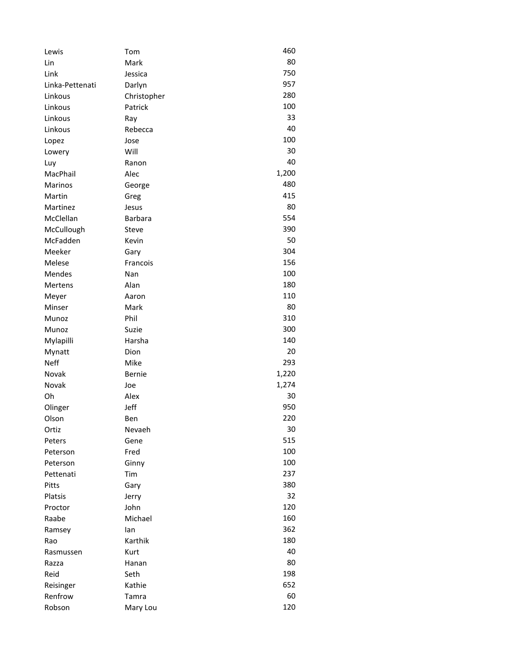| 80<br>Mark<br>Lin<br>750<br>Link<br>Jessica<br>957<br>Linka-Pettenati<br>Darlyn<br>280<br>Linkous<br>Christopher<br>100<br>Linkous<br>Patrick<br>33<br>Linkous<br>Ray<br>40<br>Linkous<br>Rebecca<br>100<br>Lopez<br>Jose<br>30<br>Will<br>Lowery<br>40<br>Ranon<br>Luy<br>1,200<br>MacPhail<br>Alec<br>480<br><b>Marinos</b><br>George<br>415<br>Martin<br>Greg<br>80<br>Martinez<br>Jesus<br>554<br>McClellan<br><b>Barbara</b><br>McCullough<br>390<br>Steve<br>McFadden<br>50<br>Kevin<br>304<br>Meeker<br>Gary<br>156<br>Melese<br>Francois<br>100<br>Mendes<br>Nan<br>180<br>Alan<br>Mertens<br>110<br>Meyer<br>Aaron<br>80<br>Minser<br>Mark<br>310<br>Phil<br>Munoz<br>300<br>Suzie<br>Munoz<br>140<br>Mylapilli<br>Harsha<br>20<br>Dion<br>Mynatt<br>293<br><b>Neff</b><br>Mike<br>1,220<br>Novak<br><b>Bernie</b><br>1,274<br>Novak<br>Joe<br>Oh<br>Alex<br>30<br>Olinger<br>Jeff<br>950<br>Olson<br>220<br>Ben<br>30<br>Nevaeh<br>Ortiz<br>515<br>Peters<br>Gene<br>100<br>Fred<br>Peterson<br>100<br>Ginny<br>Peterson<br>237<br>Tim<br>Pettenati<br>380<br>Pitts<br>Gary<br>32<br>Platsis<br>Jerry<br>120<br>John<br>Proctor<br>160<br>Raabe<br>Michael<br>362<br>lan<br>Ramsey<br>180<br>Karthik<br>Rao<br>40<br>Rasmussen<br>Kurt<br>80<br>Razza<br>Hanan<br>198<br>Reid<br>Seth<br>652<br>Kathie<br>Reisinger<br>60<br>Renfrow<br>Tamra<br>120<br>Robson<br>Mary Lou | Lewis | Tom | 460 |
|--------------------------------------------------------------------------------------------------------------------------------------------------------------------------------------------------------------------------------------------------------------------------------------------------------------------------------------------------------------------------------------------------------------------------------------------------------------------------------------------------------------------------------------------------------------------------------------------------------------------------------------------------------------------------------------------------------------------------------------------------------------------------------------------------------------------------------------------------------------------------------------------------------------------------------------------------------------------------------------------------------------------------------------------------------------------------------------------------------------------------------------------------------------------------------------------------------------------------------------------------------------------------------------------------------------------------------------------------------------------------------------|-------|-----|-----|
|                                                                                                                                                                                                                                                                                                                                                                                                                                                                                                                                                                                                                                                                                                                                                                                                                                                                                                                                                                                                                                                                                                                                                                                                                                                                                                                                                                                      |       |     |     |
|                                                                                                                                                                                                                                                                                                                                                                                                                                                                                                                                                                                                                                                                                                                                                                                                                                                                                                                                                                                                                                                                                                                                                                                                                                                                                                                                                                                      |       |     |     |
|                                                                                                                                                                                                                                                                                                                                                                                                                                                                                                                                                                                                                                                                                                                                                                                                                                                                                                                                                                                                                                                                                                                                                                                                                                                                                                                                                                                      |       |     |     |
|                                                                                                                                                                                                                                                                                                                                                                                                                                                                                                                                                                                                                                                                                                                                                                                                                                                                                                                                                                                                                                                                                                                                                                                                                                                                                                                                                                                      |       |     |     |
|                                                                                                                                                                                                                                                                                                                                                                                                                                                                                                                                                                                                                                                                                                                                                                                                                                                                                                                                                                                                                                                                                                                                                                                                                                                                                                                                                                                      |       |     |     |
|                                                                                                                                                                                                                                                                                                                                                                                                                                                                                                                                                                                                                                                                                                                                                                                                                                                                                                                                                                                                                                                                                                                                                                                                                                                                                                                                                                                      |       |     |     |
|                                                                                                                                                                                                                                                                                                                                                                                                                                                                                                                                                                                                                                                                                                                                                                                                                                                                                                                                                                                                                                                                                                                                                                                                                                                                                                                                                                                      |       |     |     |
|                                                                                                                                                                                                                                                                                                                                                                                                                                                                                                                                                                                                                                                                                                                                                                                                                                                                                                                                                                                                                                                                                                                                                                                                                                                                                                                                                                                      |       |     |     |
|                                                                                                                                                                                                                                                                                                                                                                                                                                                                                                                                                                                                                                                                                                                                                                                                                                                                                                                                                                                                                                                                                                                                                                                                                                                                                                                                                                                      |       |     |     |
|                                                                                                                                                                                                                                                                                                                                                                                                                                                                                                                                                                                                                                                                                                                                                                                                                                                                                                                                                                                                                                                                                                                                                                                                                                                                                                                                                                                      |       |     |     |
|                                                                                                                                                                                                                                                                                                                                                                                                                                                                                                                                                                                                                                                                                                                                                                                                                                                                                                                                                                                                                                                                                                                                                                                                                                                                                                                                                                                      |       |     |     |
|                                                                                                                                                                                                                                                                                                                                                                                                                                                                                                                                                                                                                                                                                                                                                                                                                                                                                                                                                                                                                                                                                                                                                                                                                                                                                                                                                                                      |       |     |     |
|                                                                                                                                                                                                                                                                                                                                                                                                                                                                                                                                                                                                                                                                                                                                                                                                                                                                                                                                                                                                                                                                                                                                                                                                                                                                                                                                                                                      |       |     |     |
|                                                                                                                                                                                                                                                                                                                                                                                                                                                                                                                                                                                                                                                                                                                                                                                                                                                                                                                                                                                                                                                                                                                                                                                                                                                                                                                                                                                      |       |     |     |
|                                                                                                                                                                                                                                                                                                                                                                                                                                                                                                                                                                                                                                                                                                                                                                                                                                                                                                                                                                                                                                                                                                                                                                                                                                                                                                                                                                                      |       |     |     |
|                                                                                                                                                                                                                                                                                                                                                                                                                                                                                                                                                                                                                                                                                                                                                                                                                                                                                                                                                                                                                                                                                                                                                                                                                                                                                                                                                                                      |       |     |     |
|                                                                                                                                                                                                                                                                                                                                                                                                                                                                                                                                                                                                                                                                                                                                                                                                                                                                                                                                                                                                                                                                                                                                                                                                                                                                                                                                                                                      |       |     |     |
|                                                                                                                                                                                                                                                                                                                                                                                                                                                                                                                                                                                                                                                                                                                                                                                                                                                                                                                                                                                                                                                                                                                                                                                                                                                                                                                                                                                      |       |     |     |
|                                                                                                                                                                                                                                                                                                                                                                                                                                                                                                                                                                                                                                                                                                                                                                                                                                                                                                                                                                                                                                                                                                                                                                                                                                                                                                                                                                                      |       |     |     |
|                                                                                                                                                                                                                                                                                                                                                                                                                                                                                                                                                                                                                                                                                                                                                                                                                                                                                                                                                                                                                                                                                                                                                                                                                                                                                                                                                                                      |       |     |     |
|                                                                                                                                                                                                                                                                                                                                                                                                                                                                                                                                                                                                                                                                                                                                                                                                                                                                                                                                                                                                                                                                                                                                                                                                                                                                                                                                                                                      |       |     |     |
|                                                                                                                                                                                                                                                                                                                                                                                                                                                                                                                                                                                                                                                                                                                                                                                                                                                                                                                                                                                                                                                                                                                                                                                                                                                                                                                                                                                      |       |     |     |
|                                                                                                                                                                                                                                                                                                                                                                                                                                                                                                                                                                                                                                                                                                                                                                                                                                                                                                                                                                                                                                                                                                                                                                                                                                                                                                                                                                                      |       |     |     |
|                                                                                                                                                                                                                                                                                                                                                                                                                                                                                                                                                                                                                                                                                                                                                                                                                                                                                                                                                                                                                                                                                                                                                                                                                                                                                                                                                                                      |       |     |     |
|                                                                                                                                                                                                                                                                                                                                                                                                                                                                                                                                                                                                                                                                                                                                                                                                                                                                                                                                                                                                                                                                                                                                                                                                                                                                                                                                                                                      |       |     |     |
|                                                                                                                                                                                                                                                                                                                                                                                                                                                                                                                                                                                                                                                                                                                                                                                                                                                                                                                                                                                                                                                                                                                                                                                                                                                                                                                                                                                      |       |     |     |
|                                                                                                                                                                                                                                                                                                                                                                                                                                                                                                                                                                                                                                                                                                                                                                                                                                                                                                                                                                                                                                                                                                                                                                                                                                                                                                                                                                                      |       |     |     |
|                                                                                                                                                                                                                                                                                                                                                                                                                                                                                                                                                                                                                                                                                                                                                                                                                                                                                                                                                                                                                                                                                                                                                                                                                                                                                                                                                                                      |       |     |     |
|                                                                                                                                                                                                                                                                                                                                                                                                                                                                                                                                                                                                                                                                                                                                                                                                                                                                                                                                                                                                                                                                                                                                                                                                                                                                                                                                                                                      |       |     |     |
|                                                                                                                                                                                                                                                                                                                                                                                                                                                                                                                                                                                                                                                                                                                                                                                                                                                                                                                                                                                                                                                                                                                                                                                                                                                                                                                                                                                      |       |     |     |
|                                                                                                                                                                                                                                                                                                                                                                                                                                                                                                                                                                                                                                                                                                                                                                                                                                                                                                                                                                                                                                                                                                                                                                                                                                                                                                                                                                                      |       |     |     |
|                                                                                                                                                                                                                                                                                                                                                                                                                                                                                                                                                                                                                                                                                                                                                                                                                                                                                                                                                                                                                                                                                                                                                                                                                                                                                                                                                                                      |       |     |     |
|                                                                                                                                                                                                                                                                                                                                                                                                                                                                                                                                                                                                                                                                                                                                                                                                                                                                                                                                                                                                                                                                                                                                                                                                                                                                                                                                                                                      |       |     |     |
|                                                                                                                                                                                                                                                                                                                                                                                                                                                                                                                                                                                                                                                                                                                                                                                                                                                                                                                                                                                                                                                                                                                                                                                                                                                                                                                                                                                      |       |     |     |
|                                                                                                                                                                                                                                                                                                                                                                                                                                                                                                                                                                                                                                                                                                                                                                                                                                                                                                                                                                                                                                                                                                                                                                                                                                                                                                                                                                                      |       |     |     |
|                                                                                                                                                                                                                                                                                                                                                                                                                                                                                                                                                                                                                                                                                                                                                                                                                                                                                                                                                                                                                                                                                                                                                                                                                                                                                                                                                                                      |       |     |     |
|                                                                                                                                                                                                                                                                                                                                                                                                                                                                                                                                                                                                                                                                                                                                                                                                                                                                                                                                                                                                                                                                                                                                                                                                                                                                                                                                                                                      |       |     |     |
|                                                                                                                                                                                                                                                                                                                                                                                                                                                                                                                                                                                                                                                                                                                                                                                                                                                                                                                                                                                                                                                                                                                                                                                                                                                                                                                                                                                      |       |     |     |
|                                                                                                                                                                                                                                                                                                                                                                                                                                                                                                                                                                                                                                                                                                                                                                                                                                                                                                                                                                                                                                                                                                                                                                                                                                                                                                                                                                                      |       |     |     |
|                                                                                                                                                                                                                                                                                                                                                                                                                                                                                                                                                                                                                                                                                                                                                                                                                                                                                                                                                                                                                                                                                                                                                                                                                                                                                                                                                                                      |       |     |     |
|                                                                                                                                                                                                                                                                                                                                                                                                                                                                                                                                                                                                                                                                                                                                                                                                                                                                                                                                                                                                                                                                                                                                                                                                                                                                                                                                                                                      |       |     |     |
|                                                                                                                                                                                                                                                                                                                                                                                                                                                                                                                                                                                                                                                                                                                                                                                                                                                                                                                                                                                                                                                                                                                                                                                                                                                                                                                                                                                      |       |     |     |
|                                                                                                                                                                                                                                                                                                                                                                                                                                                                                                                                                                                                                                                                                                                                                                                                                                                                                                                                                                                                                                                                                                                                                                                                                                                                                                                                                                                      |       |     |     |
|                                                                                                                                                                                                                                                                                                                                                                                                                                                                                                                                                                                                                                                                                                                                                                                                                                                                                                                                                                                                                                                                                                                                                                                                                                                                                                                                                                                      |       |     |     |
|                                                                                                                                                                                                                                                                                                                                                                                                                                                                                                                                                                                                                                                                                                                                                                                                                                                                                                                                                                                                                                                                                                                                                                                                                                                                                                                                                                                      |       |     |     |
|                                                                                                                                                                                                                                                                                                                                                                                                                                                                                                                                                                                                                                                                                                                                                                                                                                                                                                                                                                                                                                                                                                                                                                                                                                                                                                                                                                                      |       |     |     |
|                                                                                                                                                                                                                                                                                                                                                                                                                                                                                                                                                                                                                                                                                                                                                                                                                                                                                                                                                                                                                                                                                                                                                                                                                                                                                                                                                                                      |       |     |     |
|                                                                                                                                                                                                                                                                                                                                                                                                                                                                                                                                                                                                                                                                                                                                                                                                                                                                                                                                                                                                                                                                                                                                                                                                                                                                                                                                                                                      |       |     |     |
|                                                                                                                                                                                                                                                                                                                                                                                                                                                                                                                                                                                                                                                                                                                                                                                                                                                                                                                                                                                                                                                                                                                                                                                                                                                                                                                                                                                      |       |     |     |
|                                                                                                                                                                                                                                                                                                                                                                                                                                                                                                                                                                                                                                                                                                                                                                                                                                                                                                                                                                                                                                                                                                                                                                                                                                                                                                                                                                                      |       |     |     |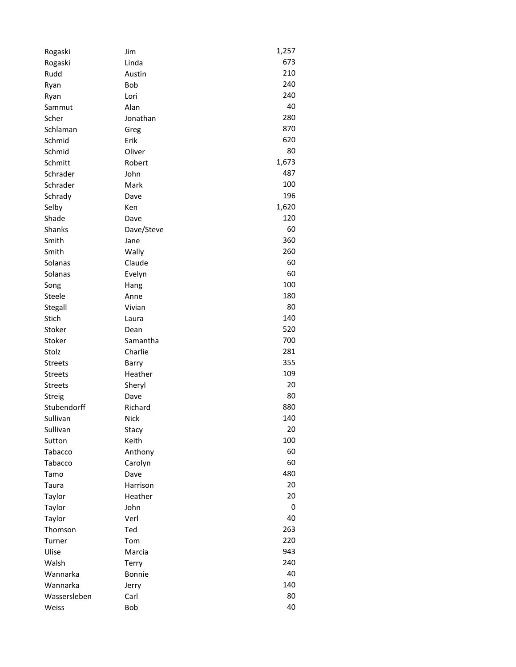| Rogaski          | Jim                 | 1,257 |
|------------------|---------------------|-------|
| Rogaski          | Linda               | 673   |
| Rudd             | Austin              | 210   |
| Ryan             | <b>Bob</b>          | 240   |
| Ryan             | Lori                | 240   |
| Sammut           | Alan                | 40    |
| Scher            | Jonathan            | 280   |
| Schlaman         | Greg                | 870   |
| Schmid           | Erik                | 620   |
| Schmid           | Oliver              | 80    |
| Schmitt          | Robert              | 1,673 |
| Schrader         | John                | 487   |
| Schrader         | Mark                | 100   |
| Schrady          | Dave                | 196   |
| Selby            | Ken                 | 1,620 |
| Shade            | Dave                | 120   |
| Shanks           | Dave/Steve          | 60    |
| Smith            | Jane                | 360   |
| Smith            | Wally               | 260   |
| Solanas          | Claude              | 60    |
| Solanas          | Evelyn              | 60    |
| Song             |                     | 100   |
| Steele           | Hang<br>Anne        | 180   |
|                  | Vivian              | 80    |
| Stegall<br>Stich |                     | 140   |
| Stoker           | Laura               | 520   |
|                  | Dean                | 700   |
| Stoker           | Samantha<br>Charlie | 281   |
| Stolz            |                     |       |
| <b>Streets</b>   | Barry               | 355   |
| <b>Streets</b>   | Heather             | 109   |
| <b>Streets</b>   | Sheryl              | 20    |
| Streig           | Dave                | 80    |
| Stubendorff      | Richard             | 880   |
| Sullivan         | <b>Nick</b>         | 140   |
| Sullivan         | Stacy               | 20    |
| Sutton           | Keith               | 100   |
| Tabacco          | Anthony             | 60    |
| Tabacco          | Carolyn             | 60    |
| Tamo             | Dave                | 480   |
| Taura            | Harrison            | 20    |
| Taylor           | Heather             | 20    |
| Taylor           | John                | 0     |
| Taylor           | Verl                | 40    |
| Thomson          | Ted                 | 263   |
| Turner           | Tom                 | 220   |
| Ulise            | Marcia              | 943   |
| Walsh            | Terry               | 240   |
| Wannarka         | <b>Bonnie</b>       | 40    |
| Wannarka         | Jerry               | 140   |
| Wassersleben     | Carl                | 80    |
| Weiss            | Bob                 | 40    |